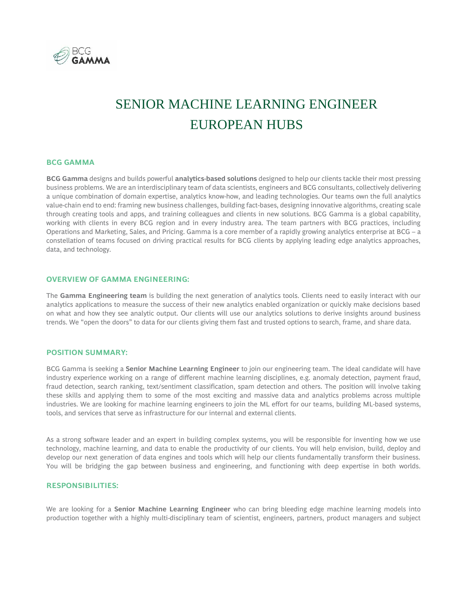

# SENIOR MACHINE LEARNING ENGINEER EUROPEAN HUBS

## **BCG GAMMA**

**BCG Gamma** designs and builds powerful **analytics-based solutions** designed to help our clients tackle their most pressing business problems. We are an interdisciplinary team of data scientists, engineers and BCG consultants, collectively delivering a unique combination of domain expertise, analytics know-how, and leading technologies. Our teams own the full analytics value-chain end to end: framing new business challenges, building fact-bases, designing innovative algorithms, creating scale through creating tools and apps, and training colleagues and clients in new solutions. BCG Gamma is a global capability, working with clients in every BCG region and in every industry area. The team partners with BCG practices, including Operations and Marketing, Sales, and Pricing. Gamma is a core member of a rapidly growing analytics enterprise at BCG – a constellation of teams focused on driving practical results for BCG clients by applying leading edge analytics approaches, data, and technology.

#### **OVERVIEW OF GAMMA ENGINEERING:**

The **Gamma Engineering team** is building the next generation of analytics tools. Clients need to easily interact with our analytics applications to measure the success of their new analytics enabled organization or quickly make decisions based on what and how they see analytic output. Our clients will use our analytics solutions to derive insights around business trends. We "open the doors" to data for our clients giving them fast and trusted options to search, frame, and share data.

## **POSITION SUMMARY:**

BCG Gamma is seeking a **Senior Machine Learning Engineer** to join our engineering team. The ideal candidate will have industry experience working on a range of different machine learning disciplines, e.g. anomaly detection, payment fraud, fraud detection, search ranking, text/sentiment classification, spam detection and others. The position will involve taking these skills and applying them to some of the most exciting and massive data and analytics problems across multiple industries. We are looking for machine learning engineers to join the ML effort for our teams, building ML-based systems, tools, and services that serve as infrastructure for our internal and external clients.

As a strong software leader and an expert in building complex systems, you will be responsible for inventing how we use technology, machine learning, and data to enable the productivity of our clients. You will help envision, build, deploy and develop our next generation of data engines and tools which will help our clients fundamentally transform their business. You will be bridging the gap between business and engineering, and functioning with deep expertise in both worlds.

# **RESPONSIBILITIES:**

We are looking for a **Senior Machine Learning Engineer** who can bring bleeding edge machine learning models into production together with a highly multi-disciplinary team of scientist, engineers, partners, product managers and subject